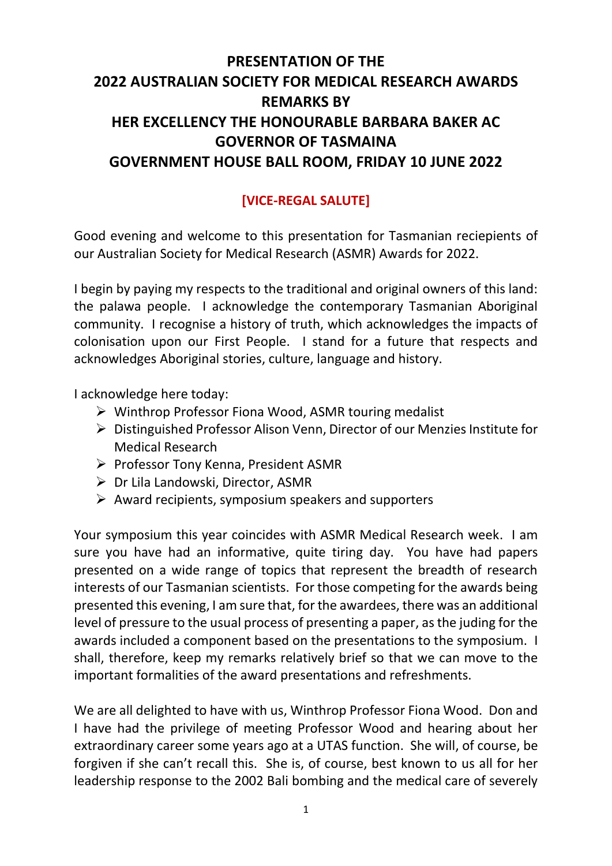## **PRESENTATION OF THE 2022 AUSTRALIAN SOCIETY FOR MEDICAL RESEARCH AWARDS REMARKS BY HER EXCELLENCY THE HONOURABLE BARBARA BAKER AC GOVERNOR OF TASMAINA GOVERNMENT HOUSE BALL ROOM, FRIDAY 10 JUNE 2022**

## **[VICE-REGAL SALUTE]**

Good evening and welcome to this presentation for Tasmanian reciepients of our Australian Society for Medical Research (ASMR) Awards for 2022.

I begin by paying my respects to the traditional and original owners of this land: the palawa people. I acknowledge the contemporary Tasmanian Aboriginal community. I recognise a history of truth, which acknowledges the impacts of colonisation upon our First People. I stand for a future that respects and acknowledges Aboriginal stories, culture, language and history.

I acknowledge here today:

- ➢ Winthrop Professor Fiona Wood, ASMR touring medalist
- ➢ Distinguished Professor Alison Venn, Director of our Menzies Institute for Medical Research
- ➢ Professor Tony Kenna, President ASMR
- ➢ Dr Lila Landowski, Director, ASMR
- $\triangleright$  Award recipients, symposium speakers and supporters

Your symposium this year coincides with ASMR Medical Research week. I am sure you have had an informative, quite tiring day. You have had papers presented on a wide range of topics that represent the breadth of research interests of our Tasmanian scientists. For those competing for the awards being presented this evening, I am sure that, for the awardees, there was an additional level of pressure to the usual process of presenting a paper, as the juding for the awards included a component based on the presentations to the symposium. I shall, therefore, keep my remarks relatively brief so that we can move to the important formalities of the award presentations and refreshments.

We are all delighted to have with us, Winthrop Professor Fiona Wood. Don and I have had the privilege of meeting Professor Wood and hearing about her extraordinary career some years ago at a UTAS function. She will, of course, be forgiven if she can't recall this. She is, of course, best known to us all for her leadership response to the 2002 Bali bombing and the medical care of severely